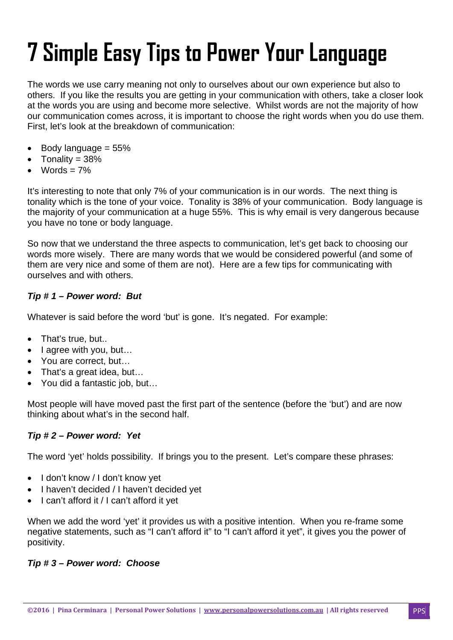# **7 Simple Easy Tips to Power Your Language**

The words we use carry meaning not only to ourselves about our own experience but also to others. If you like the results you are getting in your communication with others, take a closer look at the words you are using and become more selective. Whilst words are not the majority of how our communication comes across, it is important to choose the right words when you do use them. First, let's look at the breakdown of communication:

- Body language = 55%
- Tonality = 38%
- Words  $= 7\%$

It's interesting to note that only 7% of your communication is in our words. The next thing is tonality which is the tone of your voice. Tonality is 38% of your communication. Body language is the majority of your communication at a huge 55%. This is why email is very dangerous because you have no tone or body language.

So now that we understand the three aspects to communication, let's get back to choosing our words more wisely. There are many words that we would be considered powerful (and some of them are very nice and some of them are not). Here are a few tips for communicating with ourselves and with others.

## *Tip # 1 – Power word: But*

Whatever is said before the word 'but' is gone. It's negated. For example:

- That's true, but..
- I agree with you, but...
- You are correct, but...
- That's a great idea, but…
- You did a fantastic job, but…

Most people will have moved past the first part of the sentence (before the 'but') and are now thinking about what's in the second half.

## *Tip # 2 – Power word: Yet*

The word 'yet' holds possibility. If brings you to the present. Let's compare these phrases:

- I don't know / I don't know yet
- I haven't decided / I haven't decided yet
- I can't afford it / I can't afford it yet

When we add the word 'yet' it provides us with a positive intention. When you re-frame some negative statements, such as "I can't afford it" to "I can't afford it yet", it gives you the power of positivity.

#### *Tip # 3 – Power word: Choose*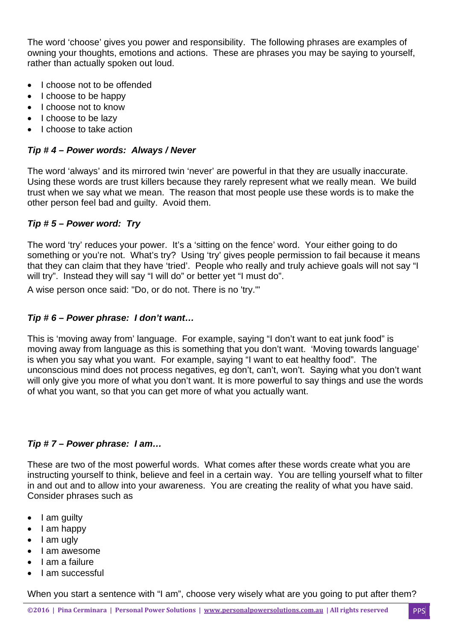The word 'choose' gives you power and responsibility. The following phrases are examples of owning your thoughts, emotions and actions. These are phrases you may be saying to yourself, rather than actually spoken out loud.

- I choose not to be offended
- I choose to be happy
- I choose not to know
- I choose to be lazy
- I choose to take action

## *Tip # 4 – Power words: Always / Never*

The word 'always' and its mirrored twin 'never' are powerful in that they are usually inaccurate. Using these words are trust killers because they rarely represent what we really mean. We build trust when we say what we mean. The reason that most people use these words is to make the other person feel bad and guilty. Avoid them.

#### *Tip # 5 – Power word: Try*

The word 'try' reduces your power. It's a 'sitting on the fence' word. Your either going to do something or you're not. What's try? Using 'try' gives people permission to fail because it means that they can claim that they have 'tried'. People who really and truly achieve goals will not say "I will try". Instead they will say "I will do" or better yet "I must do".

A wise person once said: "Do, or do not. There is no 'try.'"

#### *Tip # 6 – Power phrase: I don't want…*

This is 'moving away from' language. For example, saying "I don't want to eat junk food" is moving away from language as this is something that you don't want. 'Moving towards language' is when you say what you want. For example, saying "I want to eat healthy food". The unconscious mind does not process negatives, eg don't, can't, won't. Saying what you don't want will only give you more of what you don't want. It is more powerful to say things and use the words of what you want, so that you can get more of what you actually want.

## *Tip # 7 – Power phrase: I am…*

These are two of the most powerful words. What comes after these words create what you are instructing yourself to think, believe and feel in a certain way. You are telling yourself what to filter in and out and to allow into your awareness. You are creating the reality of what you have said. Consider phrases such as

- $\bullet$  I am guilty
- I am happy
- I am ugly
- I am awesome
- I am a failure
- I am successful

When you start a sentence with "I am", choose very wisely what are you going to put after them?